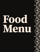# 91  $\overline{\mathsf{L}}$

 $\bullet$ 

 $\bullet$ 

 $\bullet$ 

 $\bullet$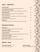# Agaaz ~ Appetizers

| <b>CHOMA CHOMA</b>                                                              | 18        |
|---------------------------------------------------------------------------------|-----------|
| Thinly sliced beef short ribs, char grilled with tangy African spices           |           |
| <b>BUTTER CHICKEN SAMOSA</b>                                                    | <b>12</b> |
| Crispy triangular shells stuffed with chicken, topped with butter chicken sauce |           |
| <b>AMRITSARI FISH</b>                                                           | 14        |
| Seasoned basa dipped in chickpea batter, served crisp Punjabi style             |           |
| <b>CHILLI CHICKEN 65</b>                                                        | 15        |
| An Indo Chinese delicacy, crispy chicken cubes tossed with onions & peppers     |           |
| <b>LAHSUNI PRAWNS</b>                                                           | 16        |
| Succulent tiger prawns in spicy garlic sauce                                    |           |
| <b>MISHKAKI</b>                                                                 | 14        |
| An African speciality! Cubes of beef on a stick, barbecued with spicy masala    |           |

# **Vegetarian Choices**

| <b>FRIED MOGO</b>                                                                  | 9         |
|------------------------------------------------------------------------------------|-----------|
| Gently fried cassava fingers sprinkled with lemon salt and spices                  |           |
| <b>VEGETABLE SAMOSA</b>                                                            | <b>10</b> |
| Crispy turnovers stuffed with potatoes and green peas                              |           |
| <b>PUNJABI PAKORA</b>                                                              | 10        |
| Fried dumplings of vegetables in chickpea flour batter, finished with chaat masala |           |
| <b>GARLIC CAULIFLOWER</b>                                                          | 13        |
| Cauliflower florets cooked in tangy garlic sauce                                   |           |
| <b>HARA BHARA KABAB</b>                                                            | 12        |
| Finely minced mix vegetables with a hint of fresh mint, deep fried                 |           |

### Shorba~Soup

#### **TAMATAR KA SHORBA** 8

#### **CHICKEN SHORBA**

Cream of tomato soup Indian style

Chicken soup with mughlai herbs

9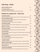# Subz Baag ~ Salads

#### **INDIAN GARDEN SALAD 8**

Cucumber, onion & tomato

#### **TANDOORI CHICKEN SALAD 10**

Indian version of Caesar salad with julienne of barbecued chicken

### Tandoor Ke Angaron Se ~ Clay Oven

| <b>TANDOORI MURGH</b>                                                                       | 21  |
|---------------------------------------------------------------------------------------------|-----|
| Half of spring chicken marinated in yoghurt and 21 spices, perfectly grilled in clay oven   |     |
| <b>SUFIANA CHICKEN TIKKA</b>                                                                | 23  |
| Breast of chicken infused with ginger, garlic and chef's own tandoori spices                |     |
| <b>AFGHANI MALAI MURGH</b>                                                                  | 23  |
| Chicken breast drenched in a velvety cream sauce and grilled                                |     |
| <b>TANDOORI SALMON</b>                                                                      | 29  |
| Cubes of fresh Atlantic salmon marinated with Khazana's own spices, a popular dish          |     |
| <b>JHEENGA ANGARE</b>                                                                       | 30  |
| Jumbo prawns marinated with aromatic freshly ground spices, artfully roasted                |     |
| <b>NIZAMI CHAAMPEY</b>                                                                      | 30  |
| Lamb Chops marinated in nugmeg, cinnamon and aromatic Indian herbs                          |     |
| <b>CHANGEZI BOTI</b>                                                                        | 23  |
| Alberta beef sirloin marinated in a combination of freshly ground spices, perfectly grilled |     |
| <b>AWADHI SEEKH</b>                                                                         | 23  |
| Minced lamb with garam masala, garlic, ginger and hint of mint, grilled in tandoor          |     |
| <b>RAAN E DUMPUKHT</b>                                                                      | 120 |
| Roast Leg of New Zealand lamb marinated with yoghurt and spices                             |     |
| ** Requires 24 hour notice**                                                                |     |
| <b>TANDOORI PHOOL</b>                                                                       | 18  |
| Cauliflower seasoned with lemon, yellow chillies and yoghurt, a vegetarian's delight        |     |
| <b>SMOKEY PANEER TIKKA</b>                                                                  | 19  |
| Cubes of cottage cheese, flavoured with ginger garlic and herbs, immaculately grilled       |     |
| <b>GRILLED SALAD</b>                                                                        | 18  |
| Seasoned peppers, vegetables, cottage cheese and pineapple, gracefully char broiled         |     |
| <b>LAKHNAVI MUSHROOM</b>                                                                    | 18  |
| Button mushrooms cooked in tandoor with a blend of spices, Chef's own creation              |     |

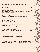# Chuhley Ki Aag Se ~ From Our Clay Pots

| <b>BUTTER CHICKEN</b>                                              |                |                |                                                                                       | 22               |
|--------------------------------------------------------------------|----------------|----------------|---------------------------------------------------------------------------------------|------------------|
|                                                                    |                |                | India's signature gift to the world, grilled chicken cooked in cream and tomato gravy |                  |
| <b>CHICKEN TIKKA MASALA</b>                                        |                |                |                                                                                       | 22               |
|                                                                    |                |                | Tandoori chicken cooked in tomato and fenugreek sauce, discovered by the British Raj  |                  |
| <b>PAKISTANI KADAI MURGH</b>                                       |                |                |                                                                                       | 22               |
|                                                                    |                |                | Chunks of boneless chicken cooked with bell peppers, tomatoes and onions              |                  |
| <b>CHICKEN DHABAA</b>                                              |                |                |                                                                                       | 22               |
|                                                                    |                |                | Bone in chicken curry with a touch of fenugreek and spinach, gift from Punjab         |                  |
| <b>RAJASTHANI LAMB</b>                                             |                |                |                                                                                       | 22               |
|                                                                    |                |                | From the land of Rajputs, lean and tender boneless lamb slow cooked with spices       |                  |
| <b>KASHMIRI ROGAN JOSH</b>                                         |                |                |                                                                                       | 22               |
| A classic north Indian delicacy of goat in green cardamom sauce    |                |                |                                                                                       |                  |
| <b>MUGHLAI BEEF</b>                                                |                |                |                                                                                       | 22               |
| Generously spiced lean beef in a symphony of spices, korma style   |                |                |                                                                                       |                  |
| <b>GOAN FISH CURRY</b>                                             |                |                |                                                                                       | 21               |
| Basa fish curry with a tampering of mustard seeds and curry leaves |                |                |                                                                                       |                  |
| <b>COCONUT SHRIMP</b>                                              |                |                |                                                                                       | 23               |
| South Indian coconut flavoured shrimp curry                        |                |                |                                                                                       |                  |
| VINDALOO $\sim$                                                    | <b>BEEF 22</b> | <b>LAMB 22</b> | <b>CHICKEN 22</b>                                                                     | <b>SHRIMP 23</b> |
| For those who want their curry hot, an evergreen dish from Goa     |                |                |                                                                                       |                  |

### **Akele Akele - Preplated Dinners**

**DIWAN E AAM 30** Vegetable Biryani, Daal, Aloo Gobhi, Raita Paneer Tikka & Choice of Naan

**DIWAN E KHAAS 32** 

Rice, Butter Chicken, Daal, Tandoori Salmon, Seekh Kebab, Raita & choice of Naan

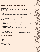# Kuchh Shakahari ~ Vegetarian Curries

| <b>DAAL KHAZANA</b>                                                                    | 18              |
|----------------------------------------------------------------------------------------|-----------------|
| A unique black lentil dish, simmered overnight on slow fire, finished with cream       |                 |
| <b>DAAL TARKA</b>                                                                      | <b>16</b>       |
| Yellow lentils tampered with cumin, staple food of a Punjabi household                 |                 |
| <b>CHANA PINDI</b>                                                                     | 16              |
| Chick pea flavoured with dry ginger, fenugreek and herbs, from Rawalpindi city         |                 |
| <b>PALAK PANEER</b>                                                                    | 19              |
| Spinach and cottage cheese - simple ingrediants turn this curry into a magical dish    |                 |
| <b>DUM ALOO GOBHI</b>                                                                  | 17 <sup>2</sup> |
| A well known north Indian dish - broiled potatoes and cauliflower in aromatic sauce    |                 |
| <b>SHABNAM KE MOTI</b>                                                                 | 17 <sup>2</sup> |
| Me'lange of vegetables cooked in a traditional tomato onion gravy                      |                 |
| <b>KARAI PANEER</b>                                                                    | 19              |
| Cubes of cottage cheese cooked with tomatoes, peppers and onions                       |                 |
| <b>SHAHI PANEER AKBARI</b>                                                             | 19              |
| Cottage paneer dish cooked in velvety tomato cream sauce, from the north east frontier |                 |
| <b>KOFTA HABIBI</b>                                                                    | 19              |
| Dumplings of cottage cheese, cooked in a rich Kashmiri sauce                           |                 |
| <b>BHINDI DO PIAZA</b>                                                                 | 17              |
| Home style Okra dish, cooked with onions, tomatoes, flavoured with turmeric and cumin  |                 |

# **Accompaniments**

| <b>CUCUMBER RAITA</b>                    | 8 |
|------------------------------------------|---|
| Yoghurt with shredded cucumber and herbs |   |
| <b>ALOO RAITA</b>                        | 8 |
| <b>Yoghurt with potatoes and spices</b>  |   |
| <b>PINEAPPLE RAITA</b>                   | 8 |
| <b>Yoghurt with pineapple</b>            |   |
| <b>ONION CHILLI PLATE</b>                | 3 |

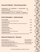### Chawal Ki Mehaik ~ Finest Basmati Rice

**SAFFRON RICE 6.50 LEMON RICE 7 COCONUT RICE 7.50 VEGETABLE BIRYANI** 18 Baked basmati rice and vegetables with hint of fresh mint leaves **HYDRABADI BIRYANI GOAT 23 CHICKEN 22 SHRIMP 24** Mint flavoured Dehradun basmati smoked with choice of goat, chicken or shrimp

### Roti Ki Khushboo ~ Indian Breads

| NAAN MAKHNI                                                                     | 4.75 |
|---------------------------------------------------------------------------------|------|
| A light bread baked in clay oven, brushed with butter                           |      |
| <b>FLAVOURED NAAN</b>                                                           | 6.00 |
| Naan bread with choice of GARLIC, ROSEMARY or COCONUT with butter glaze         |      |
| <b>TANDOORI ROTI</b>                                                            | 4.25 |
| <b>Whole wheat bread</b>                                                        |      |
| <b>LACHHA PRANTHA</b>                                                           | 5.50 |
| Whole wheat multi layered bread                                                 |      |
| <b>PUDINA PRANTHA</b>                                                           | 5.50 |
| Mint flavoured oven baked bread with butter glaze                               |      |
| <b>TANDOORI KULCHA</b>                                                          | 8.00 |
| Traditional naan bread with choice of stuffing ONION, POTATO, PANEER or CHICKEN |      |

#### Halwai Ki Dukaan Se ~ Desserts

#### KULFI KHAZANA 9

**Traditional saffron flavoured ice cream** 

#### **GULAB JAMUN WITH ICE CREAM 10**

Reduced milk dumplings, dipped in sugar syrup served with ice cream Fresh mango pudding

#### **CHOCOLATE CINNAMON NAAN 8**

Naan bread with Belgium chocolate and cinnamon

15% Gratuity shall apply on a table of 8 or more.

**RICE PUDDING 8** 

An all time favourite

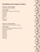## **Fixed Dinners for Groups (8 or More)**

#### **MENU ONE - \$45 PER PERSON**

Vegetable Samosa, Mogo and Fried Fish

#### **MAIN COURSE**

Tandoori Chicken or Beef Kebab or Tandoori Salmon **Butter Chicken** Lamb Korma Daal Khazana **Palak Paneer** Saffron Rice Raita Naan Makhni **Rice Pudding** 

#### **MENU TWO - \$55 PER PERSON**

Vegetable Samosa, Choma Choma and Tandoori Shrimp

#### **MAIN COURSE**

Tandoori Chicken, Murg Malai, Beef Kebab, Tandoori Salmon (Choose any two from above) **Butter Chicken** Lamb Korma Daal Khazana **Palak Paneer** Choice of Naan Raita & Salad Kufli Khazana **Tea or Coffee** 

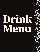# K J B O  $\overline{\mathsf{u}}$

Œ

Œ

 $\bullet$ 

 $\bullet$ 

 $\bullet$ 

'n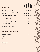### **White Wine**

| <b>SANTA CAROLINA</b> Reserva Sauvignon Blanc Chile   | 11              | 24 | 36  | 42 |
|-------------------------------------------------------|-----------------|----|-----|----|
| <b>VINA ERRAZURIZ</b> Casablanca Chardonnay Chile     | 12 <sup>7</sup> | 25 | 38  | 44 |
| <b>TERRAZAS</b> Reserva Torrontes Argentina           | <b>12</b>       | 25 | 38  | 47 |
| <b>SUMAC RIDGE</b> Gewurztraminer Canada              | <b>12</b>       | 25 | 38  | 47 |
| <b>SANTA CAROLINA</b> Reserva Chardonnay Chile        |                 |    | 40  |    |
| <b>BANFI</b> Le Rime Pinot Grigio (taly               |                 |    | 41  |    |
| <b>OYSTER BAY</b> Sauvignon Blanc <i>New Zealand</i>  |                 |    | 41  |    |
| <b>LOUIS JADOT</b> Bourgogne Chardonnay <i>France</i> |                 |    | 53  |    |
| <b>LOUIS JADOT</b> Chablis <i>France</i>              |                 |    | 60  |    |
| <b>CLOUDY BAY</b> Chardonnay <i>New Zealand</i>       |                 |    | 66  |    |
| <b>CAKEBREAD</b> Chardonnay USA                       |                 |    | 122 |    |

 $60Z$   $1/2$ 

 $BTL$ 

Ltr**ich Litter** ETL

 $\mathbf{1}$ 

# **Champagne and Sparkling**

| <b>HENKELL &amp; SOHLEIN</b><br><b>Brut</b> Germany | 32  |
|-----------------------------------------------------|-----|
| <b>CHANDON</b>                                      | 75  |
| Blanc de Noirs USA                                  |     |
| <b>DOM PERIGNON</b><br>$\sigma$ $\sigma$            | 345 |

Champagne France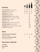| <b>SANTA CAROLINA Reserva Merlot Chile</b>                   | 11        |                 | 22 34      | 41 |
|--------------------------------------------------------------|-----------|-----------------|------------|----|
| <b>CONO SUR Estate Pinot Noir Chile</b>                      | <b>12</b> | 22 <sub>2</sub> | 34         | 41 |
| <b>RED KNOT</b> Shiraz Australia                             | <b>12</b> | 25 <sub>2</sub> | 38         | 47 |
| THE SHOW Malbec Argentina                                    |           |                 | 42         |    |
| <b>WYNDHAM ESTATE</b> Bin 555 Shiraz Australia               |           |                 | 43         |    |
| <b>TERRAZAS</b> Reserva Cabernet Sauvignon Argentina         |           |                 | 45         |    |
| <b>BEN MARCO</b> Malbec Argentina                            |           |                 | 50         |    |
| <b>MASI</b> Amarone Ttaly                                    |           |                 | 72         |    |
| <b>RAYMOND</b> Napa Valley Cabernet Sauvignon USA            |           |                 | 88         |    |
| <b>OSOYOOS LAROSE</b> Le Grand Vin Canada                    |           |                 | 108        |    |
| <b>SAN FELICE</b> Poggo Rosso Chianti Classico Riserva (taly |           |                 | <b>110</b> |    |
| <b>SAN FELICE Pugnitello (taly</b>                           |           |                 | 133        |    |

### **Blush**

| ROBERT MONDAVI WOODBRIDGE                           | 11 21 32 |    | - 38 |
|-----------------------------------------------------|----------|----|------|
| White Zinfandel $\mathcal{U}\mathcal{S}\mathcal{A}$ |          |    |      |
| <b>BARTON &amp; GUESTIER PASSEPORT</b>              |          | 39 |      |
| Cotes de Provence Rose France                       |          |    |      |

### **House Beer (340ml) \$8**

**TAJ MAHAL KING FISHER RANI** 



BTL Ltr $\begin{array}{|c|c|c|}\hline \text{Ltr} & \text{BTL} & \text{Ltr}\ \hline \end{array}$ 

 $60Z$   $1/2$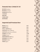### **Domestic Beer (340ml) \$7.50**

**BIG ROCK** Traditional **BIG ROCK** Grasshopper **SLEEMANS** Honey Brown **CANADIAN KOKANEE COORS LIGHT BUDWEISER** 

### **Imported and Premium Beer**

| <b>BECKS</b> Germany                               | 8.50  |
|----------------------------------------------------|-------|
| <b>CORONA</b> CMexico                              | 8.50  |
| <b>STELLA ARTOIS Belgium</b>                       | 8.50  |
| <b>ALLEY KAT</b> Amber Ale <i>Edmonton</i>         | 8.50  |
| <b>ALLEY KAT</b> Aprikat Wheat Ale <i>Edmonton</i> | 8.50  |
| TUSKER (500 ml) Kenya                              | 13.90 |
| <b>TUBORG</b> Denmark                              | 8.75  |
| <b>KRONENBOURG 1664 France</b>                     | 8.75  |
| <b>GUINNESS</b> (440 ml) <i>Treland</i>            | 9.25  |
| <b>HEINEKEN</b> Holland                            | 8.50  |
| <b>TIGER</b> Singapore                             | 8.50  |

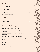# Scotch (1oz)

| <b>JOHNNIE WALKER Red</b>        | 8  |
|----------------------------------|----|
| <b>GLENFIDDICH</b>               | q  |
| <b>ARDBEG</b> 10 year Old        | 10 |
| <b>JOHNNIE WALKER Black</b>      | q  |
| <b>DALWHINNIE</b>                | 10 |
| <b>JOHNNIE WALKER Blue Label</b> | 24 |

# Cognac (1oz)

| <b>COURVOISIER VS</b> |    |
|-----------------------|----|
| <b>HENNESSY VSOP</b>  | 14 |
| <b>HENNESSY XO</b>    | 24 |

### **Non Alcoholic Beverages**

| <b>MOJITO BLISS</b> Very Popular Mint Flavoured Drink                             | $\overline{7}$ |
|-----------------------------------------------------------------------------------|----------------|
| <b>UMAR KAYAM</b> Orange and Passion Fruit Juice Topped with Grenadine            | $\overline{7}$ |
| <b>NIMBU PAANI</b> Refreshing Fresh Lime Drink                                    | 6              |
| <b>AMRAPALI</b> Mango, Pineapple and Orange Juice, Sprite, Grenadine              | $\overline{7}$ |
| FRUIT JUICE Passion Fruit, Mango, Lychee, Pineapple, Orange or Cranberry          | 5 <sup>5</sup> |
| <b>LASSI</b> Sweet or Salted <i>Traditional Indian Drink made from Yogurt</i>     | 6              |
| LASSI Mango, Lychee or Coconut Traditional Indian Drink made from Yogurt          | $\overline{7}$ |
| <b>COFFEE</b>                                                                     | $\mathbf{3}$   |
| <b>SOFT DRINKS</b>                                                                | 3 <sup>2</sup> |
| <b>PERRIER</b>                                                                    | $\overline{7}$ |
| <b>PELLIGRINO</b>                                                                 | $\overline{7}$ |
| <b>MASALA CHAI</b> No Khazana experience is complete without this traditional tea | 3              |